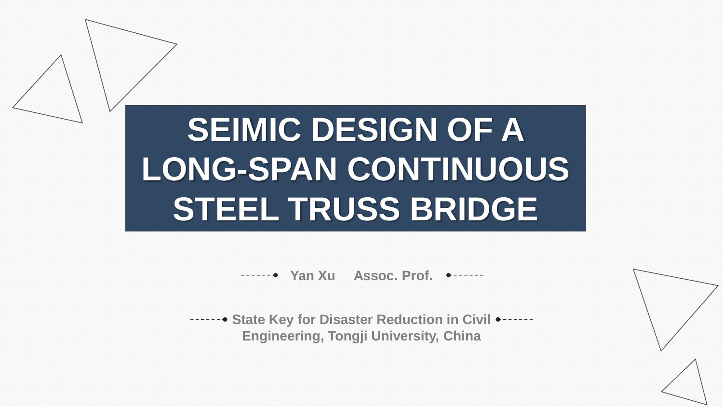**SEIMIC DESIGN OF A LONG-SPAN CONTINUOUS STEEL TRUSS BRIDGE**

**THE TAN YAR XU ASSOC. Prof. ● -------**

**State Key for Disaster Reduction in Civil • - - - - - -Engineering, Tongji University, China**

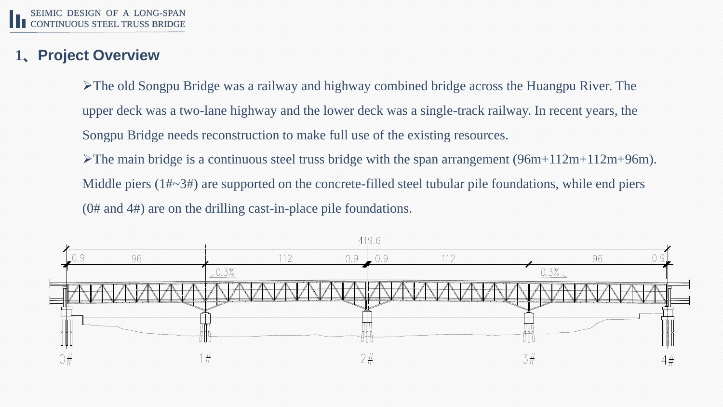# **1、Project Overview**

➢The old Songpu Bridge was a railway and highway combined bridge across the Huangpu River. The upper deck was a two-lane highway and the lower deck was a single-track railway. In recent years, the Songpu Bridge needs reconstruction to make full use of the existing resources.

 $\blacktriangleright$ The main bridge is a continuous steel truss bridge with the span arrangement (96m+112m+112m+96m). Middle piers (1#~3#) are supported on the concrete-filled steel tubular pile foundations, while end piers (0# and 4#) are on the drilling cast-in-place pile foundations.

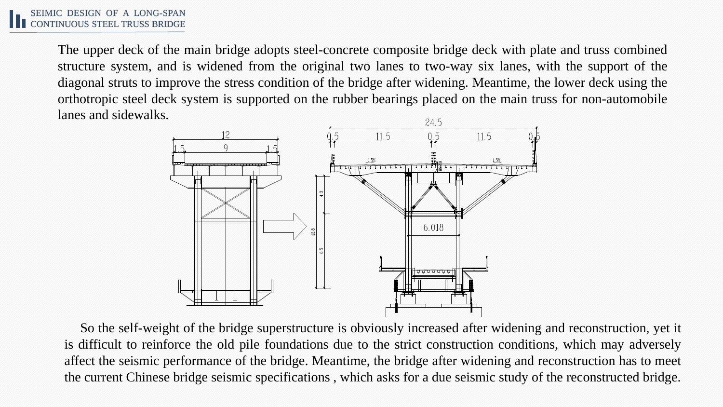The upper deck of the main bridge adopts steel-concrete composite bridge deck with plate and truss combined structure system, and is widened from the original two lanes to two-way six lanes, with the support of the diagonal struts to improve the stress condition of the bridge after widening. Meantime, the lower deck using the orthotropic steel deck system is supported on the rubber bearings placed on the main truss for non-automobile lanes and sidewalks.



So the self-weight of the bridge superstructure is obviously increased after widening and reconstruction, yet it is difficult to reinforce the old pile foundations due to the strict construction conditions, which may adversely affect the seismic performance of the bridge. Meantime, the bridge after widening and reconstruction has to meet the current Chinese bridge seismic specifications , which asks for a due seismic study of the reconstructed bridge.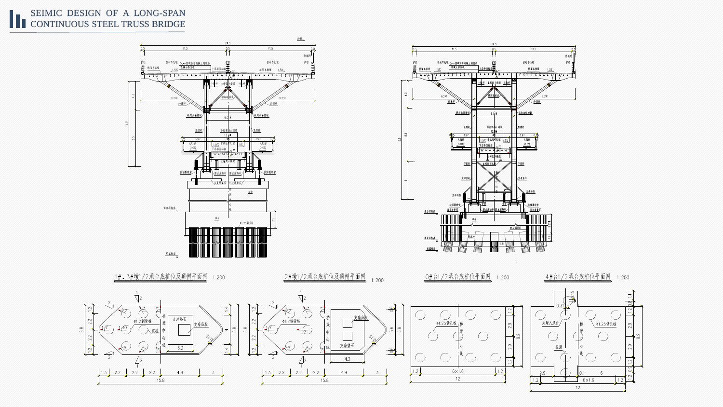#### SEIMIC DESIGN OF A LONG-SPAN SEIMIC DESIGN OF A LONG-SPAN<br>CONTINUOUS STEEL TRUSS BRIDGE



 $15.8$ 



 $12<sup>2</sup>$ 

 $\left[1.2\right]$ 

 $6 \times 1.6$ 

 $12<sup>°</sup>$ 

 $1.2$ 



15.8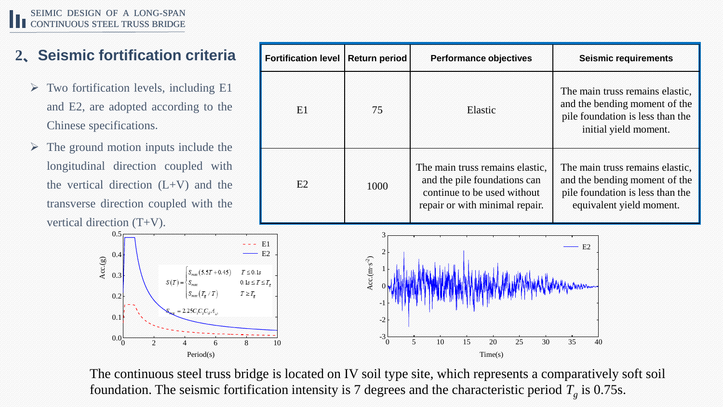# **2、Seismic fortification criteria Fortification level Return period Performance objectives Seismic requirements**

- $\triangleright$  Two fortification levels, including E1 and E2, are adopted according to the Chinese specifications.
- $\triangleright$  The ground motion inputs include the longitudinal direction coupled with the vertical direction  $(L+V)$  and the transverse direction coupled with the vertical direction (T+V).



| <b>Fortification level</b> | <b>Return period</b> | <b>Performance objectives</b>                                                                                                    | <b>Seismic requirements</b>                                                                                                      |
|----------------------------|----------------------|----------------------------------------------------------------------------------------------------------------------------------|----------------------------------------------------------------------------------------------------------------------------------|
| E1                         | 75                   | Elastic                                                                                                                          | The main truss remains elastic.<br>and the bending moment of the<br>pile foundation is less than the<br>initial yield moment.    |
| E2                         | 1000                 | The main truss remains elastic,<br>and the pile foundations can<br>continue to be used without<br>repair or with minimal repair. | The main truss remains elastic,<br>and the bending moment of the<br>pile foundation is less than the<br>equivalent yield moment. |



The continuous steel truss bridge is located on IV soil type site, which represents a comparatively soft soil foundation. The seismic fortification intensity is 7 degrees and the characteristic period  $T_g$  is 0.75s.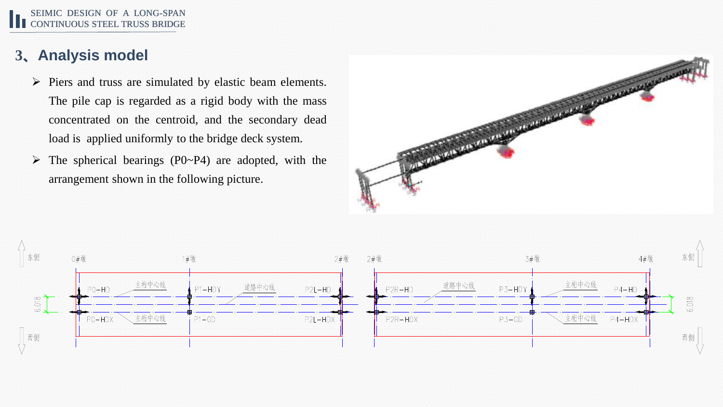#### SEIMIC DESIGN OF A LONG-SPAN CONTINUOUS STEEL TRUSS BRIDGE

### **3、Analysis model**

- ➢ Piers and truss are simulated by elastic beam elements. The pile cap is regarded as a rigid body with the mass concentrated on the centroid, and the secondary dead load is applied uniformly to the bridge deck system.
- $\triangleright$  The spherical bearings (P0~P4) are adopted, with the arrangement shown in the following picture.



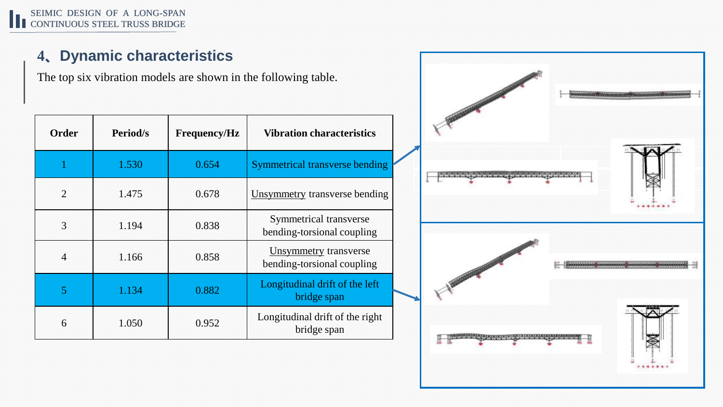# **4、Dynamic characteristics**

The top six vibration models are shown in the following table.

| <b>Order</b>   | <b>Period/s</b> | <b>Frequency/Hz</b> | <b>Vibration characteristics</b>                           |
|----------------|-----------------|---------------------|------------------------------------------------------------|
|                | 1.530           | 0.654               | Symmetrical transverse bending                             |
| $\overline{2}$ | 1.475           | 0.678               | <b>Unsymmetry</b> transverse bending                       |
| 3              | 1.194           | 0.838               | Symmetrical transverse<br>bending-torsional coupling       |
| $\overline{4}$ | 1.166           | 0.858               | <b>Unsymmetry</b> transverse<br>bending-torsional coupling |
| 5              | 1.134           | 0.882               | Longitudinal drift of the left<br>bridge span              |
| 6              | 1.050           | 0.952               | Longitudinal drift of the right<br>bridge span             |

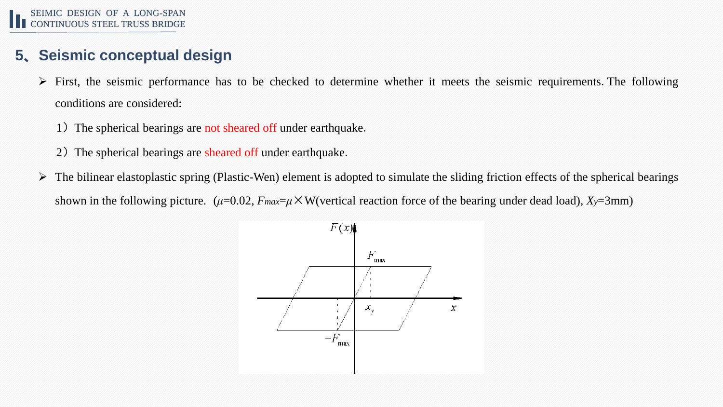### **5、Seismic conceptual design**

- $\triangleright$  First, the seismic performance has to be checked to determine whether it meets the seismic requirements. The following conditions are considered:
	- 1) The spherical bearings are not sheared off under earthquake.
	- 2) The spherical bearings are sheared off under earthquake.
- $\triangleright$  The bilinear elastoplastic spring (Plastic-Wen) element is adopted to simulate the sliding friction effects of the spherical bearings shown in the following picture.  $(\mu=0.02, F_{max}=\mu \times W(\text{vertical reaction force of the bearing under dead load}), X_y=3 \text{mm})$

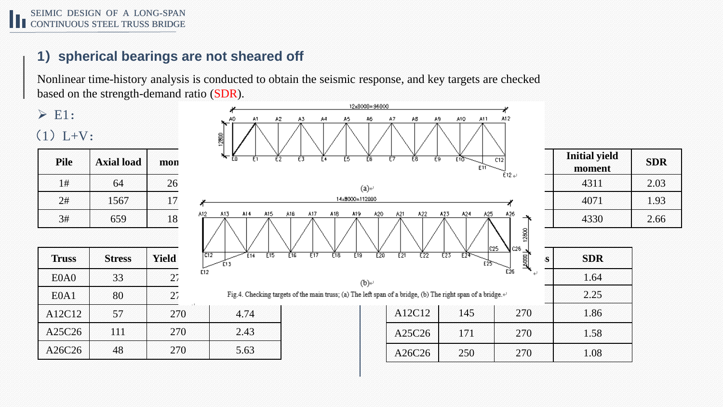#### **1)spherical bearings are not sheared off**

Nonlinear time-history analysis is conducted to obtain the seismic response, and key targets are checked based on the strength-demand ratio (SDR).

# $\triangleright$  E1:

 $(1) L+V:$ 

| F1                 |     | mon | <b>Axial load</b> | Pile |
|--------------------|-----|-----|-------------------|------|
|                    |     | 26. | 64                | 1#   |
|                    |     | 17  | 1567              | 2#   |
| AI4<br>A15.<br>A13 | A12 | 18  | 659               | 3#   |

| <b>Truss</b>                  | <b>Stress</b> | <b>Yield</b> | $\overline{c}$ 12<br>E14<br>E13 |
|-------------------------------|---------------|--------------|---------------------------------|
| E <sub>0</sub> A <sub>0</sub> | 33            | 27           | E12                             |
| E0A1                          | 80            | 27           | Fig.4. Che                      |
| A12C12                        | 57            | 270          | 4.74                            |
| A25C26                        | 111           | 270          | 2.43                            |
| A26C26                        | 48            | 270          | 5.63                            |

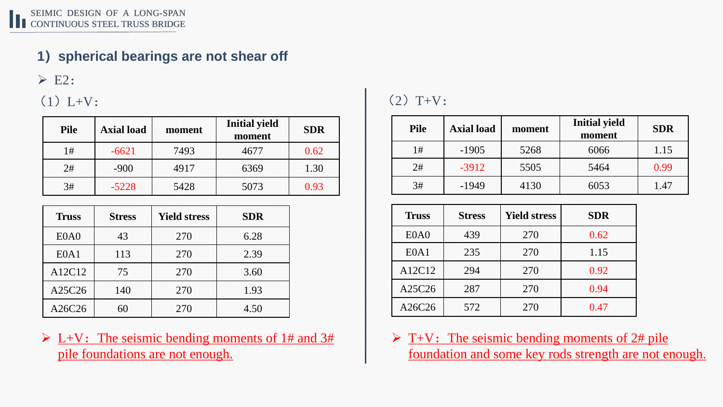### **1)spherical bearings are not shear off**

 $\triangleright$  E2:

#### $(1) L+V:$

| <b>Pile</b> | <b>Axial load</b> | moment | <b>Initial yield</b><br>moment | <b>SDR</b> |
|-------------|-------------------|--------|--------------------------------|------------|
| 1#          | $-6621$           | 7493   | 4677                           | 0.62       |
| 2#          | $-900$            | 4917   | 6369                           | 1.30       |
| 3#          | $-5228$           | 5428   | 5073                           | 0.93       |

| <b>Truss</b>                  | <b>Stress</b> | <b>Yield stress</b> | <b>SDR</b> |
|-------------------------------|---------------|---------------------|------------|
| E <sub>0</sub> A <sub>0</sub> | 43            | 270                 | 6.28       |
| E0A1                          | 113           | 270                 | 2.39       |
| A12C12                        | 75            | 270                 | 3.60       |
| A25C26                        | 140           | 270                 | 1.93       |
| A26C26                        | 60            | 270                 | 4.50       |

 $\triangleright$  L+V: The seismic bending moments of 1# and 3# pile foundations are not enough.

# $(2)$  T+V:

| <b>Pile</b> | <b>Axial load</b> | moment | <b>Initial yield</b><br>moment | <b>SDR</b> |
|-------------|-------------------|--------|--------------------------------|------------|
| 1#          | $-1905$           | 5268   | 6066                           | 1.15       |
| 2#          | $-3912$           | 5505   | 5464                           | 0.99       |
| 3#          | $-1949$           | 4130   | 6053                           | 1.47       |

| <b>Truss</b>                  | <b>Stress</b> | <b>Yield stress</b> | <b>SDR</b> |
|-------------------------------|---------------|---------------------|------------|
| E <sub>0</sub> A <sub>0</sub> | 439           | 270                 | 0.62       |
| E0A1                          | 235           | 270                 | 1.15       |
| A12C12                        | 294           | 270                 | 0.92       |
| A25C26                        | 287           | 270                 | 0.94       |
| A26C26                        | 572           | 270                 | 0.47       |

 $\triangleright$  T+V: The seismic bending moments of 2# pile foundation and some key rods strength are not enough.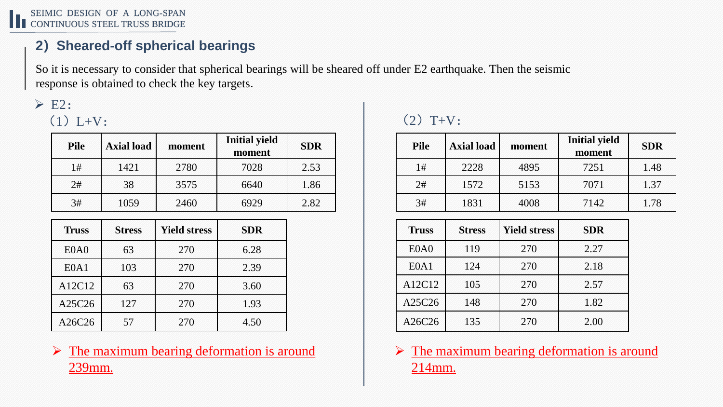SEIMIC DESIGN OF A LONG-SPAN CONTINUOUS STEEL TRUSS BRIDGE

#### **2)Sheared-off spherical bearings**

So it is necessary to consider that spherical bearings will be sheared off under E2 earthquake. Then the seismic response is obtained to check the key targets.

### $\triangleright$  E2:  $(1) L+V:$

| <b>Pile</b> | <b>Axial load</b> | moment | <b>Initial yield</b><br>moment | <b>SDR</b> |
|-------------|-------------------|--------|--------------------------------|------------|
| 1#          | 1421              | 2780   | 7028                           | 2.53       |
| 2#          | 38                | 3575   | 6640                           | 1.86       |
| 3#          | 1059              | 2460   | 6929                           | 2.82       |

| <b>Truss</b>                  | <b>Stress</b> | <b>Yield stress</b> | <b>SDR</b> |
|-------------------------------|---------------|---------------------|------------|
| E <sub>0</sub> A <sub>0</sub> | 63            | 270                 | 6.28       |
| E <sub>0</sub> A <sub>1</sub> | 103           | 270                 | 2.39       |
| A12C12                        | 63            | 270                 | 3.60       |
| A25C26                        | 127           | 270                 | 1.93       |
| A26C26                        | 57            | 270                 | 4.50       |

#### $\triangleright$  The maximum bearing deformation is around 239mm.

# $(2)$  T+V:

| <b>Pile</b> | <b>Axial load</b> | moment | <b>Initial yield</b><br>moment | <b>SDR</b> |
|-------------|-------------------|--------|--------------------------------|------------|
| 1#          | 2228              | 4895   | 7251                           | 1.48       |
| 2#          | 1572              | 5153   | 7071                           | 1.37       |
| 3#          | 1831              | 4008   | 7142                           | 1.78       |

| <b>Truss</b>                  | <b>Stress</b> | <b>Yield stress</b> | <b>SDR</b> |
|-------------------------------|---------------|---------------------|------------|
| E <sub>0</sub> A <sub>0</sub> | 119           | 270                 | 2.27       |
| E0A1                          | 124           | 270                 | 2.18       |
| A12C12                        | 105           | 270                 | 2.57       |
| A25C26                        | 148           | 270                 | 1.82       |
| A26C26                        | 135           | 270                 | 2.00       |

 $\triangleright$  The maximum bearing deformation is around 214mm.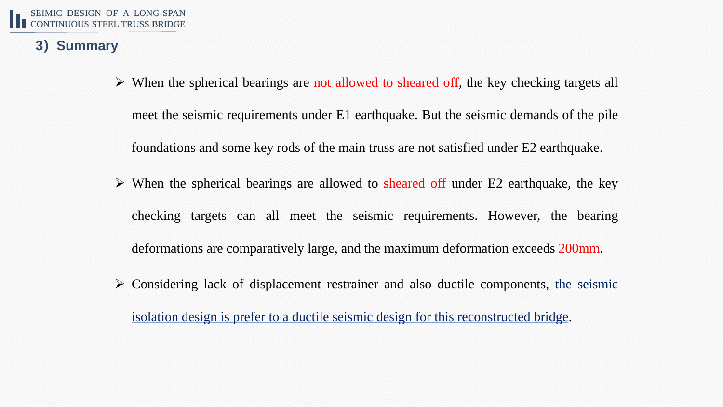#### **3)Summary**

- ➢ When the spherical bearings are not allowed to sheared off, the key checking targets all meet the seismic requirements under E1 earthquake. But the seismic demands of the pile foundations and some key rods of the main truss are not satisfied under E2 earthquake.
- $\triangleright$  When the spherical bearings are allowed to sheared off under E2 earthquake, the key checking targets can all meet the seismic requirements. However, the bearing deformations are comparatively large, and the maximum deformation exceeds 200mm.
- $\triangleright$  Considering lack of displacement restrainer and also ductile components, the seismic isolation design is prefer to a ductile seismic design for this reconstructed bridge.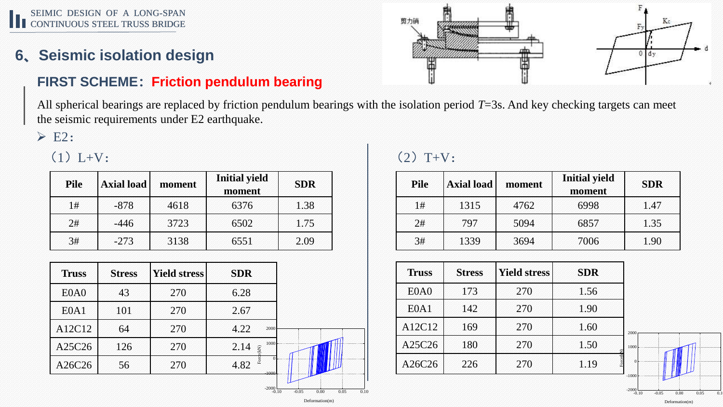#### SEIMIC DESIGN OF A LONG-SPAN SEIMIC DESIGN OF A LUNG-SPAIN<br>CONTINUOUS STEEL TRUSS BRIDGE

# **6、Seismic isolation design**

#### **FIRST SCHEME:Friction pendulum bearing**

All spherical bearings are replaced by friction pendulum bearings with the isolation period *T*=3s. And key checking targets can meet the seismic requirements under E2 earthquake.

 $\triangleright$  E2:

 $(1) L+V:$ 

| <b>Pile</b> | <b>Axial load</b> | moment | <b>Initial yield</b><br>moment | <b>SDR</b> |
|-------------|-------------------|--------|--------------------------------|------------|
| 1#          | $-878$            | 4618   | 6376                           | 1.38       |
| 2#          | $-446$            | 3723   | 6502                           | 1.75       |
| 3#          | $-273$            | 3138   | 6551                           | 2.09       |

| 43<br>6.28<br>E <sub>0</sub> A <sub>0</sub><br>270<br>E0A1<br>270<br>2.67<br>101<br>A12C12<br>64<br>4.22<br>270<br>2000<br>1000<br>A25C26<br>126<br>270<br>2.14<br>Force(kN)<br>4.82<br>A26C26<br>56<br>270<br>1000 | <b>Truss</b> | <b>Stress</b> | <b>Yield stress</b> | <b>SDR</b> |
|---------------------------------------------------------------------------------------------------------------------------------------------------------------------------------------------------------------------|--------------|---------------|---------------------|------------|
|                                                                                                                                                                                                                     |              |               |                     |            |
|                                                                                                                                                                                                                     |              |               |                     |            |
|                                                                                                                                                                                                                     |              |               |                     |            |
|                                                                                                                                                                                                                     |              |               |                     |            |
|                                                                                                                                                                                                                     |              |               |                     |            |

### $(2)$  T+V:

| <b>Pile</b> | <b>Axial load</b> | moment | <b>Initial yield</b><br>moment | <b>SDR</b> |
|-------------|-------------------|--------|--------------------------------|------------|
| 1#          | 1315              | 4762   | 6998                           | 1.47       |
| 2#          | 797               | 5094   | 6857                           | 1.35       |
| 3#          | 1339              | 3694   | 7006                           | 1.90       |

| <b>Truss</b>                  | <b>Stress</b> | <b>Yield stress</b> | <b>SDR</b>   |                     |
|-------------------------------|---------------|---------------------|--------------|---------------------|
| E <sub>0</sub> A <sub>0</sub> | 173           | 270                 | 1.56         |                     |
| E0A1                          | 142           | 270                 | 1.90         |                     |
| A12C12                        | 169           | 270                 | 1.60         | 2000                |
| A25C26                        | 180           | 270                 | 1.50         | 1000                |
| A26C26                        | 226           | 270                 | ce(k<br>1.19 | $\Omega$<br>$-1000$ |





 $-2000$ 

Deformation(m)

 $-2000$ <sub>0</sub> $10$ 

-0.10 -0.05 0.00 0.05 0.10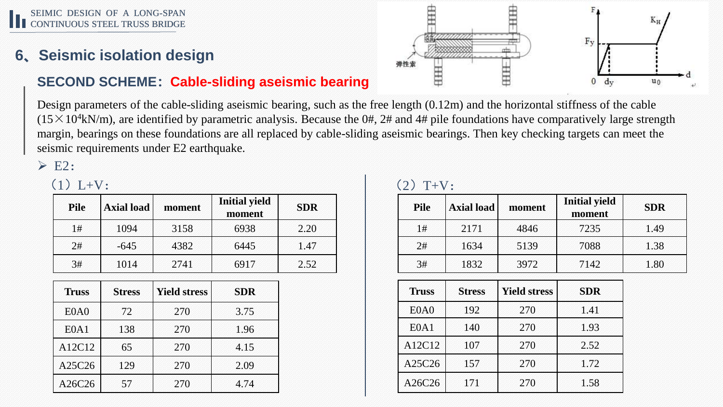#### SEIMIC DESIGN OF A LONG-SPAN CONTINUOUS STEEL TRUSS BRIDGE

# **6、Seismic isolation design**

#### **SECOND SCHEME:Cable-sliding aseismic bearing**

Design parameters of the cable-sliding aseismic bearing, such as the free length (0.12m) and the horizontal stiffness of the cable  $(15\times10^4$ kN/m), are identified by parametric analysis. Because the 0#, 2# and 4# pile foundations have comparatively large strength margin, bearings on these foundations are all replaced by cable-sliding aseismic bearings. Then key checking targets can meet the seismic requirements under E2 earthquake.

 $\triangleright$  E2:

## $(1) L+V:$

| <b>Pile</b> | <b>Axial load</b> | moment | <b>Initial yield</b><br>moment | <b>SDR</b> |
|-------------|-------------------|--------|--------------------------------|------------|
| 1#          | 1094              | 3158   | 6938                           | 2.20       |
| 2#          | $-645$            | 4382   | 6445                           | 1.47       |
| 3#          | 1014              | 2741   | 6917                           | 2.52       |

| <b>Truss</b>                  | <b>Stress</b> | <b>Yield stress</b> | <b>SDR</b> |
|-------------------------------|---------------|---------------------|------------|
| E <sub>0</sub> A <sub>0</sub> | 72            | 270                 | 3.75       |
| E <sub>0</sub> A <sub>1</sub> | 138           | 270                 | 1.96       |
| A12C12                        | 65            | 270                 | 4.15       |
| A25C26                        | 129           | 270                 | 2.09       |
| A26C26                        | 57            | 270                 | 4.74       |

| $(2) T+V:$ |
|------------|
|            |

| <b>Pile</b> | <b>Axial load</b> | moment | <b>Initial yield</b><br>moment | <b>SDR</b> |
|-------------|-------------------|--------|--------------------------------|------------|
| 1#          | 2171              | 4846   | 7235                           | 1.49       |
| 2#          | 1634              | 5139   | 7088                           | 1.38       |
| 3#          | 1832              | 3972   | 7142                           | 1.80       |

| <b>Truss</b> | <b>Stress</b> | <b>Yield stress</b> | <b>SDR</b> |
|--------------|---------------|---------------------|------------|
| E0A0         | 192           | 270                 | 1.41       |
| E0A1         | 140           | 270                 | 1.93       |
| A12C12       | 107           | 270                 | 2.52       |
| A25C26       | 157           | 270                 | 1.72       |
| A26C26       | 171           | 270                 | 1.58       |

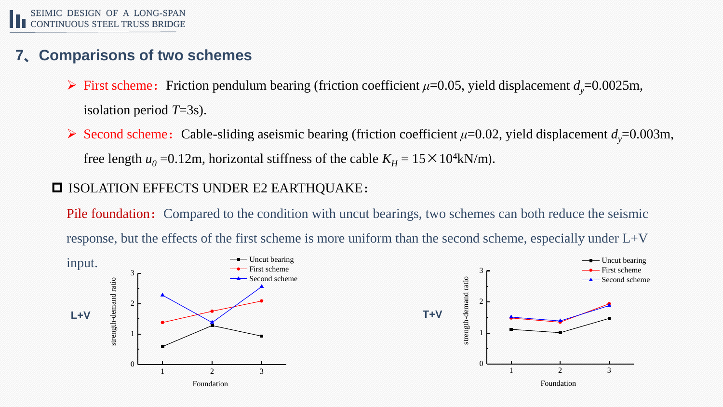#### **7、Comparisons of two schemes**

- $\triangleright$  First scheme: Friction pendulum bearing (friction coefficient  $\mu$ =0.05, yield displacement  $d$ <sup>*y*=0.0025m,</sup> isolation period *T*=3s).
- $\triangleright$  Second scheme: Cable-sliding aseismic bearing (friction coefficient  $\mu$ =0.02, yield displacement  $d$ <sup> $\psi$ </sup>=0.003m, free length  $u_0 = 0.12$ m, horizontal stiffness of the cable  $K_H = 15 \times 10^4$ kN/m).

#### **ISOLATION EFFECTS UNDER E2 EARTHQUAKE:**

Pile foundation: Compared to the condition with uncut bearings, two schemes can both reduce the seismic response, but the effects of the first scheme is more uniform than the second scheme, especially under L+V

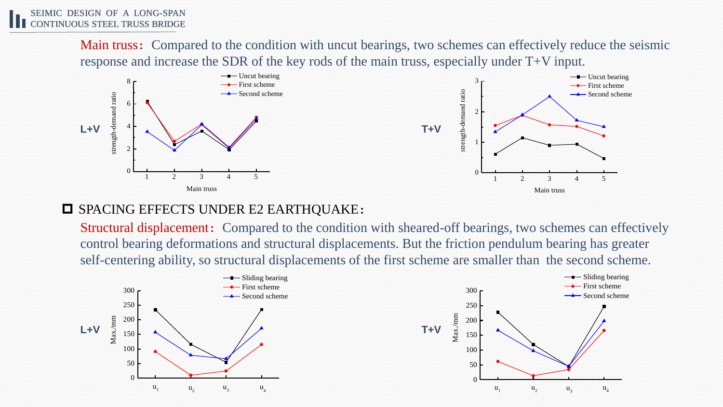Main truss: Compared to the condition with uncut bearings, two schemes can effectively reduce the seismic response and increase the SDR of the key rods of the main truss, especially under T+V input.



#### $\Box$  SPACING EFFECTS UNDER E2 EARTHQUAKE:

Structural displacement: Compared to the condition with sheared-off bearings, two schemes can effectively control bearing deformations and structural displacements. But the friction pendulum bearing has greater self-centering ability, so structural displacements of the first scheme are smaller than the second scheme.

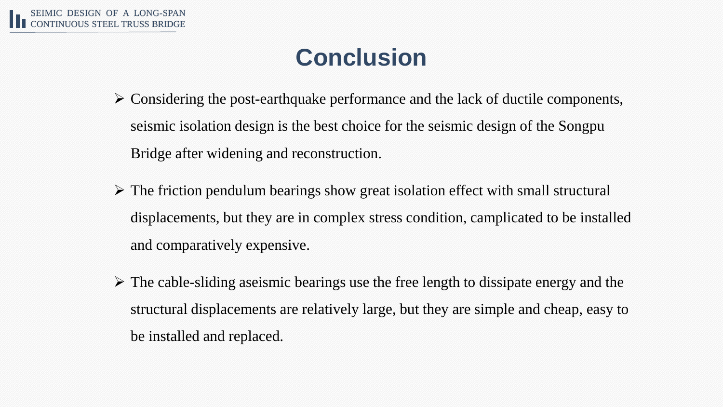# **Conclusion**

- $\triangleright$  Considering the post-earthquake performance and the lack of ductile components, seismic isolation design is the best choice for the seismic design of the Songpu Bridge after widening and reconstruction.
- ➢ The friction pendulum bearings show great isolation effect with small structural displacements, but they are in complex stress condition, camplicated to be installed and comparatively expensive.
- $\triangleright$  The cable-sliding aseismic bearings use the free length to dissipate energy and the structural displacements are relatively large, but they are simple and cheap, easy to be installed and replaced.